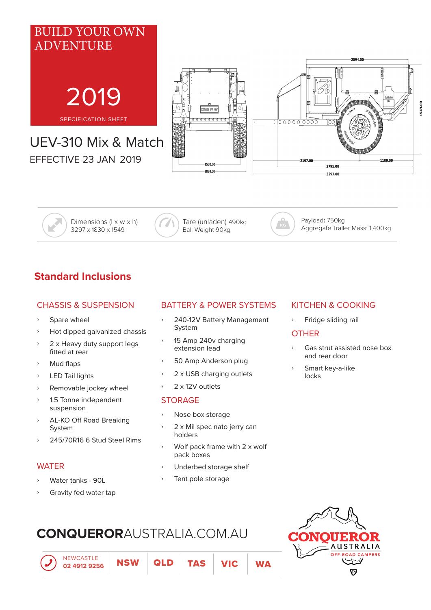

Dimensions (l x w x h) 3297 x 1830 x 1549

Tare (unladen) 490kg Ball Weight 90kg

Payload**:** 750kg Aggregate Trailer Mass: 1,400kg

# **Standard Inclusions**

#### CHASSIS & SUSPENSION

- Spare wheel
- ʟ Hot dipped galvanized chassis
- 2 x Heavy duty support legs fitted at rear
- Mud flaps
- LED Tail lights
- ʟ Removable jockey wheel
- ʟ 1.5 Tonne independent suspension
- ʟ AL-KO Off Road Breaking System
- ʟ 245/70R16 6 Stud Steel Rims

#### **WATER**

- Water tanks 90L
- Gravity fed water tap

NEWCASTLE

**02 4912 9256 NSW** 

## BATTERY & POWER SYSTEMS

- ʟ 240-12V Battery Management System
- ʟ 15 Amp 240v charging extension lead
- > 50 Amp Anderson plug
- 2 x USB charging outlets
- 2 x 12V outlets

#### **STORAGE**

- Nose box storage
- 2 x Mil spec nato jerry can holders
- Wolf pack frame with 2 x wolf pack boxes

QLD | TAS | VIC | WA

- Underbed storage shelf
- Tent pole storage

## KITCHEN & COOKING

ʟ Fridge sliding rail

#### **OTHER**

- ʟ Gas strut assisted nose box and rear door
- Smart key-a-like locks





# **CONQUEROR**AUSTRALIA.COM.AU